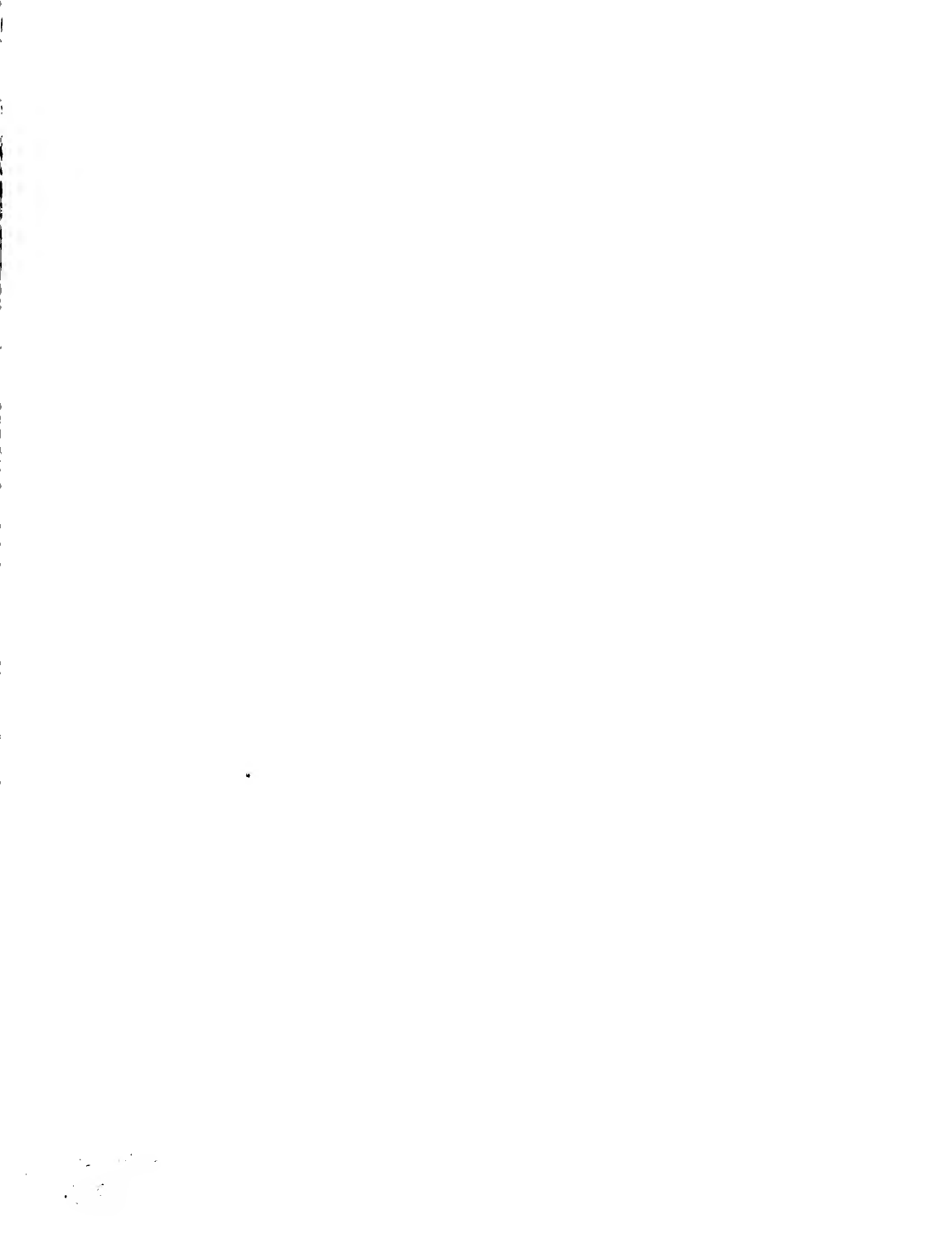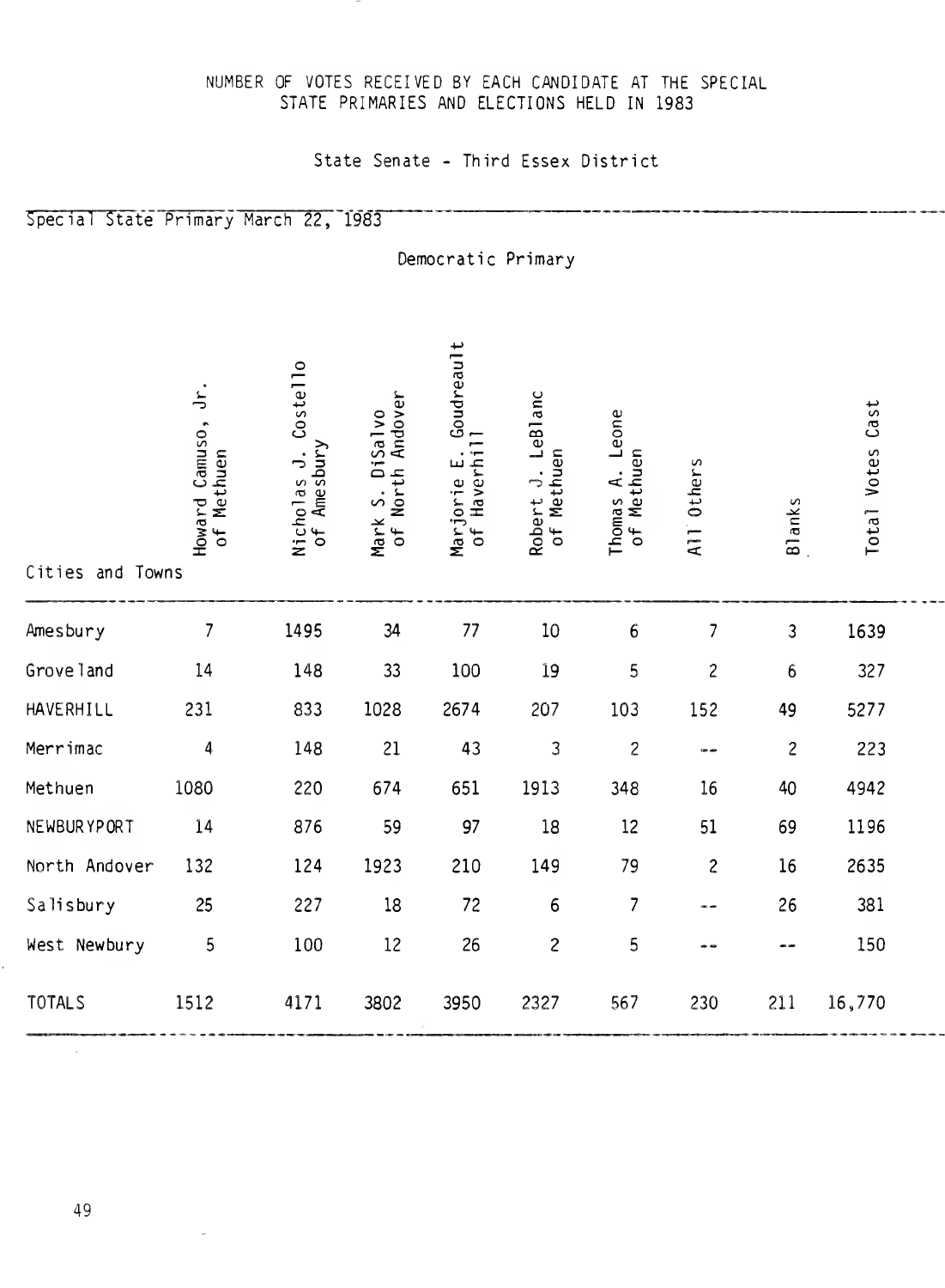State Senate - Third Essex District

Special State Primary March 22, 1983

Democratic Primary

| Cities and Towns | َع۔<br>Howard Camuso,<br>Methuen<br>$\mathfrak{h}$ | Costello<br>of Amesbury<br>$\overline{a}$<br>Nicholas | of North Andover<br>DiSalvo<br>Mark S. | Goudreau1t<br>Marjorie E. (<br>of Haverhill | Robert J. LeBlanc<br>of Methuen | Thomas A. Leone<br>of Methuen | Others<br>A1   | Blanks         | Cast<br>Total Votes |  |
|------------------|----------------------------------------------------|-------------------------------------------------------|----------------------------------------|---------------------------------------------|---------------------------------|-------------------------------|----------------|----------------|---------------------|--|
| Amesbury         | $\overline{7}$                                     | 1495                                                  | 34                                     | 77                                          | 10                              | 6                             | 7              | 3              | 1639                |  |
| Groveland        | 14                                                 | 148                                                   | 33                                     | 100                                         | 19                              | 5                             | $\overline{c}$ | 6              | 327                 |  |
| HAVERHILL        | 231                                                | 833                                                   | 1028                                   | 2674                                        | 207                             | 103                           | 152            | 49             | 5277                |  |
| Merrimac         | 4                                                  | 148                                                   | 21                                     | 43                                          | 3                               | $\mathbf{2}$                  | on an          | $\overline{c}$ | 223                 |  |
| Methuen          | 1080                                               | 220                                                   | 674                                    | 651                                         | 1913                            | 348                           | 16             | 40             | 4942                |  |
| NEWBURYPORT      | 14                                                 | 876                                                   | 59                                     | 97                                          | 18                              | 12                            | 51             | 69             | 1196                |  |
| North Andover    | 132                                                | 124                                                   | 1923                                   | 210                                         | 149                             | 79                            | $\overline{c}$ | 16             | 2635                |  |
| Salisbury        | 25                                                 | 227                                                   | 18                                     | 72                                          | 6                               | $\overline{7}$                | - 00           | 26             | 381                 |  |
| West Newbury     | -5                                                 | 100                                                   | 12                                     | 26                                          | $\overline{c}$                  | 5                             |                |                | 150                 |  |
| <b>TOTALS</b>    | 1512                                               | 4171                                                  | 3802                                   | 3950                                        | 2327                            | 567                           | 230            | 211            | 16,770              |  |

49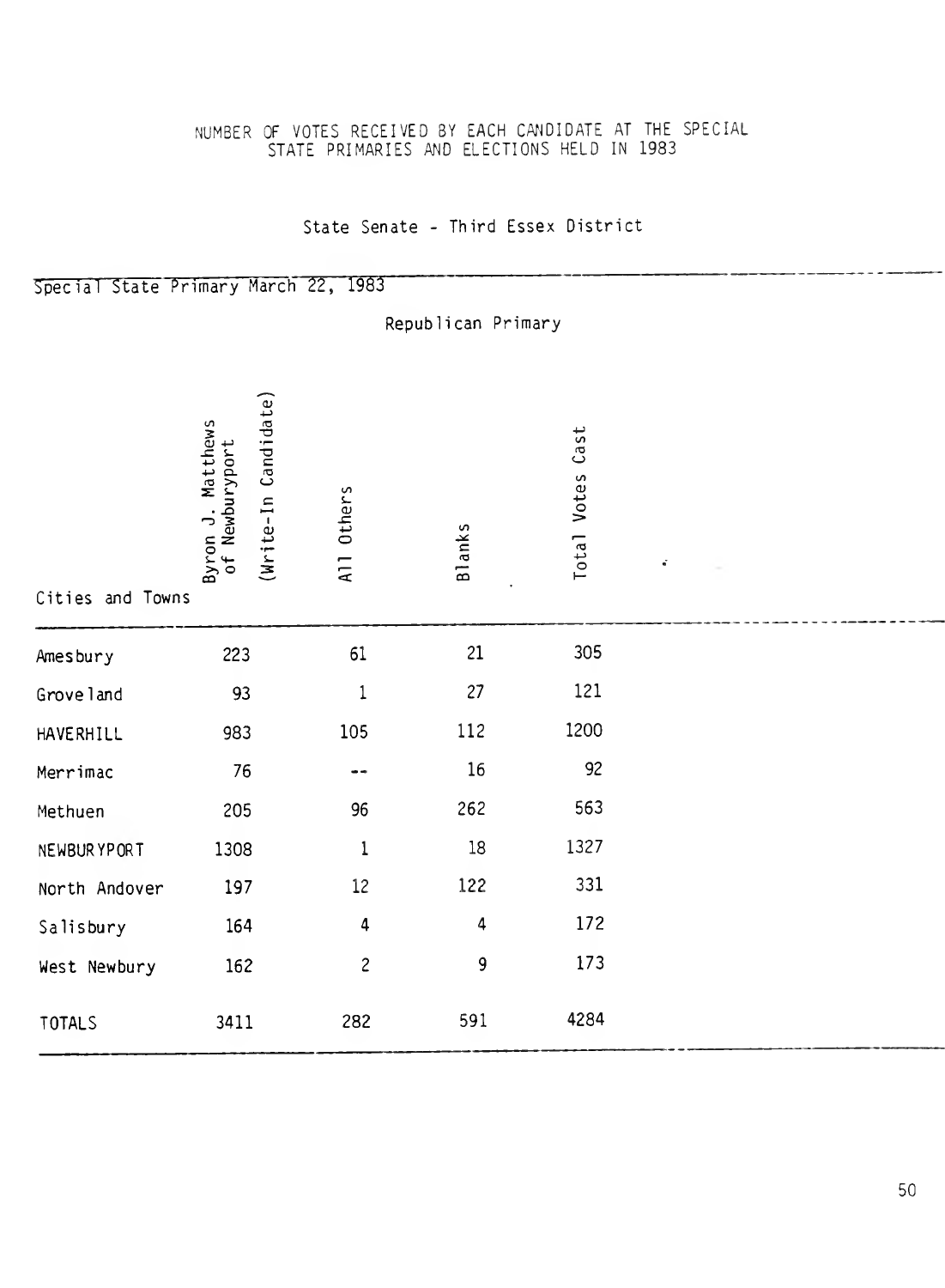## State Senate - Third Essex District

والمناصر المرابط والمرادي

# Special State Primary March 22, 1983

#### Republican Primary

| Cities and Towns | Candidate)<br>Byron J. Matthews<br>of Newburyport<br>(Write-In | Others<br>$\overline{4}$ | <b>Blanks</b>           | Cast<br>Votes<br>Tota1 | $\vec{q}$ |  |
|------------------|----------------------------------------------------------------|--------------------------|-------------------------|------------------------|-----------|--|
| Amesbury         | 223                                                            | 61                       | 21                      | 305                    |           |  |
| Grove land       | 93                                                             | $\mathbf{1}$             | 27                      | 121                    |           |  |
| HAVERHILL        | 983                                                            | 105                      | 112                     | 1200                   |           |  |
| Merrimac         | 76                                                             |                          | 16                      | 92                     |           |  |
| Methuen          | 205                                                            | 96                       | 262                     | 563                    |           |  |
| NEWBURYPORT      | 1308                                                           | $\mathbf 1$              | $18\,$                  | 1327                   |           |  |
| North Andover    | 197                                                            | $12 \,$                  | 122                     | 331                    |           |  |
| Salisbury        | 164                                                            | 4                        | $\overline{\mathbf{4}}$ | 172                    |           |  |
| West Newbury     | 162                                                            | $\overline{c}$           | 9                       | 173                    |           |  |
| <b>TOTALS</b>    | 3411                                                           | 282                      | 591                     | 4284                   |           |  |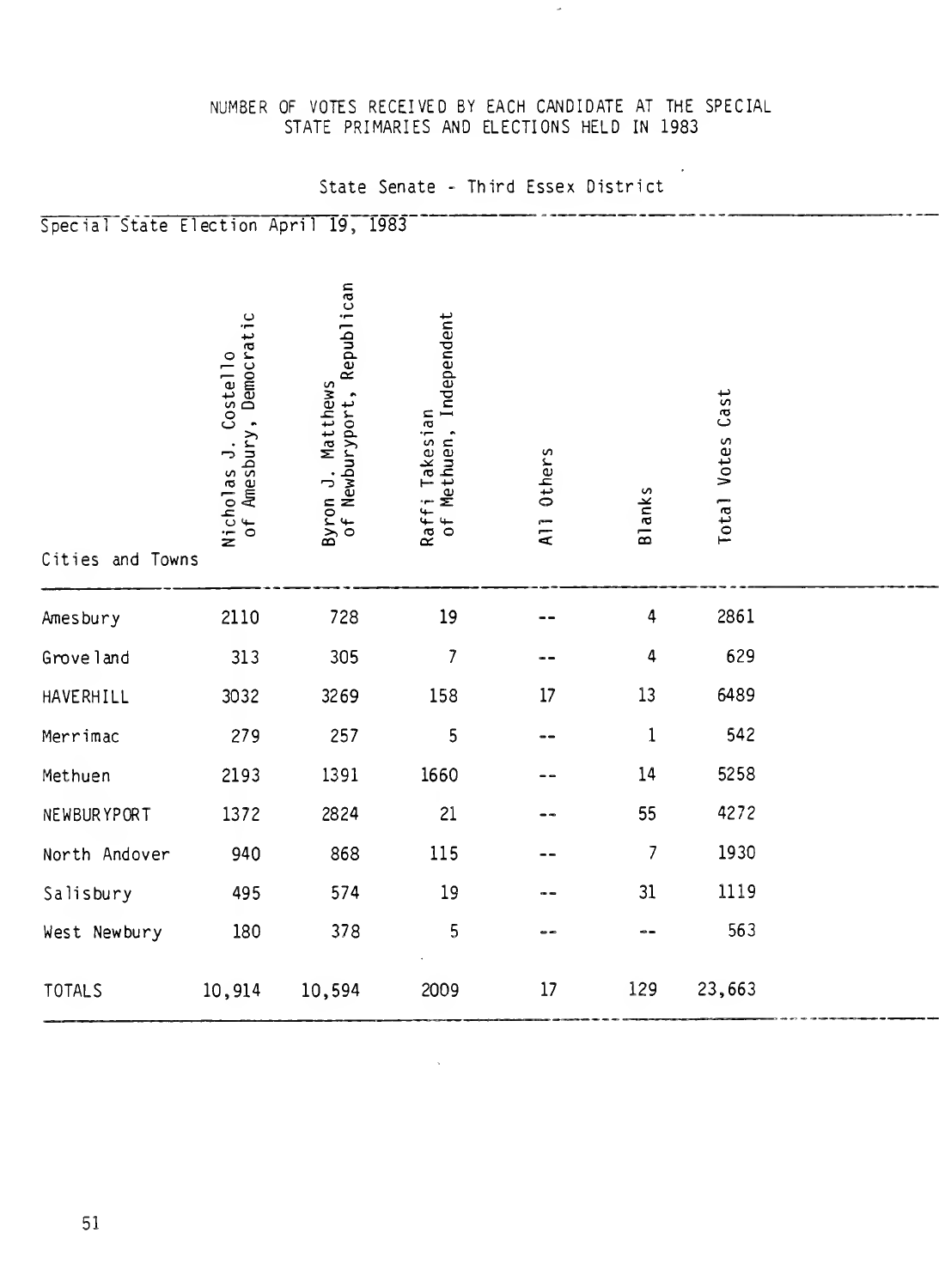$\bar{\phantom{a}}$ 

 $\mathcal{F}$ 

## State Senate - Third Essex District

| Special State Election April 19, 1983 |                                                       |                                                    |                                           |                          |                |                     |  |  |  |  |  |
|---------------------------------------|-------------------------------------------------------|----------------------------------------------------|-------------------------------------------|--------------------------|----------------|---------------------|--|--|--|--|--|
| Cities and Towns                      | Democratic<br>Costello<br>of Amesbury,<br>Nicholas J. | Republican<br>Byron J. Matthews<br>of Newburyport, | of Methuen, Independent<br>Raffi Takesian | Others<br>$\overline{z}$ | <b>Blanks</b>  | Cast<br>Total Votes |  |  |  |  |  |
| Amesbury                              | 2110                                                  | 728                                                | 19                                        |                          | 4              | 2861                |  |  |  |  |  |
| Grove land                            | 313                                                   | 305                                                | $\overline{\phantom{a}}$                  |                          | 4              | 629                 |  |  |  |  |  |
| HAVERHILL                             | 3032                                                  | 3269                                               | 158                                       | 17                       | 13             | 6489                |  |  |  |  |  |
| Merrimac                              | 279                                                   | 257                                                | 5                                         |                          | $\mathbf{1}$   | 542                 |  |  |  |  |  |
| Methuen                               | 2193                                                  | 1391                                               | 1660                                      |                          | 14             | 5258                |  |  |  |  |  |
| NEWBURYPORT                           | 1372                                                  | 2824                                               | 21                                        |                          | 55             | 4272                |  |  |  |  |  |
| North Andover                         | 940                                                   | 868                                                | 115                                       |                          | $\overline{7}$ | 1930                |  |  |  |  |  |
| Salisbury                             | 495                                                   | 574                                                | 19                                        |                          | 31             | 1119                |  |  |  |  |  |
| West Newbury                          | 180                                                   | 378                                                | 5                                         |                          | ۰-             | 563                 |  |  |  |  |  |
| <b>TOTALS</b>                         | 10,914                                                | 10,594                                             | 2009                                      | 17                       | 129            | 23,663              |  |  |  |  |  |

 $\sim$   $\sim$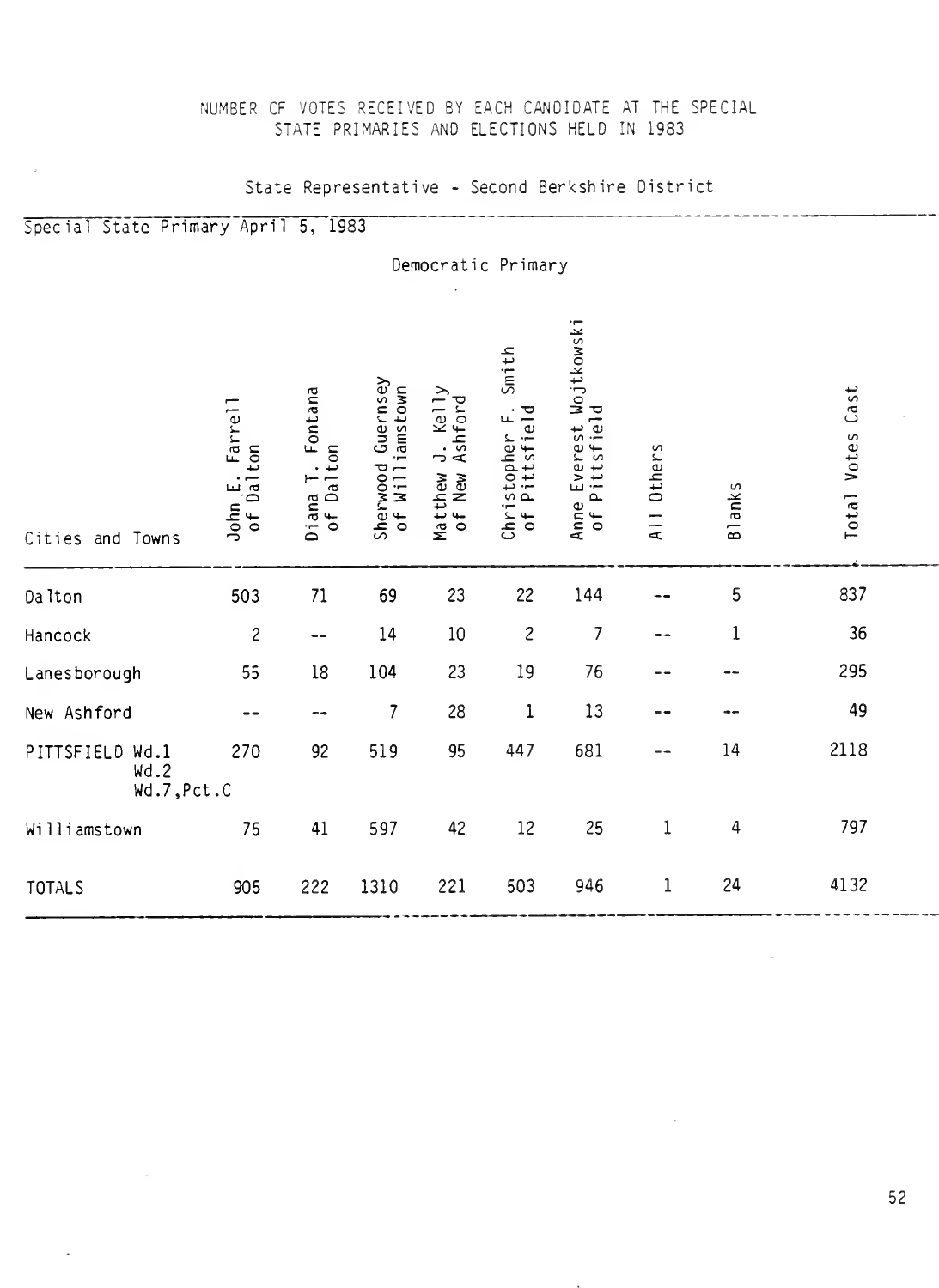State Representative - Second Berkshire District

Special State Primary April 5, 1983

Democratic PrimaryAnne Everest Wojtkowski Christopher F. Smith<br>of Pittsfield Sherwood Guernsey Diana T. Fontana<br>of Dalton of Williamstown Matthew J. Kelly Total Votes Cast John E. Farrell<br>of Dalton of New Ashford of Pittsfield All Others **Blanks** Cities and Towns 503 71 69 23 22 144 5 837 Dalton  $\overline{a}$  $\overline{c}$ 14 10  $\overline{c}$  $\overline{7}$  $\mathbf{1}$ 36 Hancock  $\overline{a}$ --Lanesborough 55 18 104 23 19 76 295 49 New Ashford  $\overline{7}$ 28  $\mathbf{1}$ 13  $\overline{\phantom{a}}$ --95 447 681 14 2118 PITTSFIELD Wd.1 270 92 519  $Wd.2$ Wd.7, Pct.C 42 12 25  $\mathbf 1$  $\overline{4}$ 797 Williamstown 75 41 597 **TOTALS** 905 222 1310 221 503 946  $\mathbf{1}$ 24 4132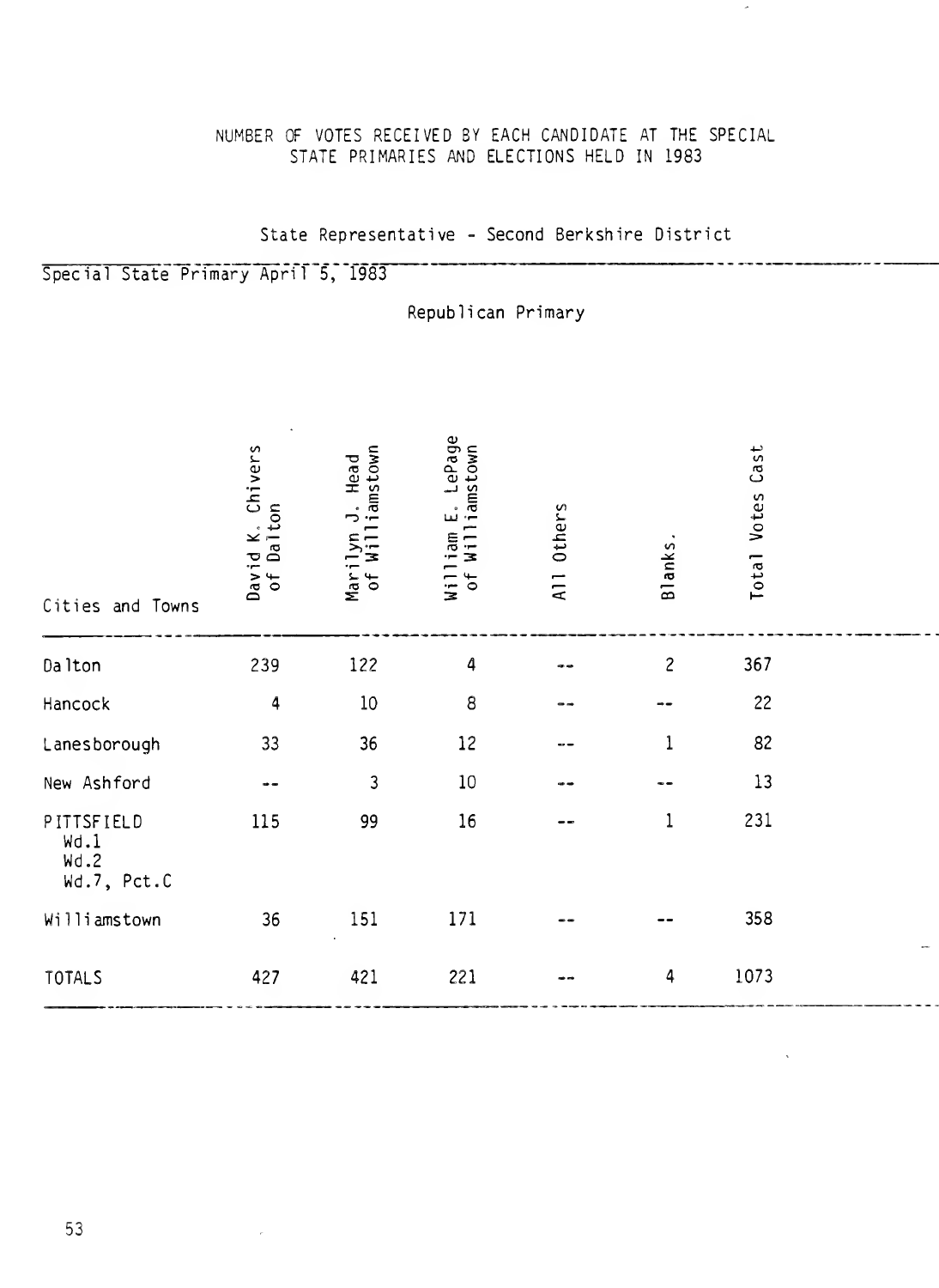$\lambda$ 

#### State Representative - Second Berkshire District

## Special State Primary April 5, 1983

### Republican Primary

| Cities and Towns                          | Chivers<br>Dalton<br>$\vec{\mathsf{k}}$<br>David<br>of Da | ianstown<br>Head<br>っ<br>Marilyn<br>$\overline{\mathbf{z}}$<br>$\sigma$ | E. LePage<br>iamstown<br>ш<br>$\overline{u}$<br>iam<br>$\mathfrak{h}$<br>$\overline{u}$ | Others<br>A <sub>1</sub> | <b>Blanks</b>  | Cast<br>Votes<br>Tota1 |  |
|-------------------------------------------|-----------------------------------------------------------|-------------------------------------------------------------------------|-----------------------------------------------------------------------------------------|--------------------------|----------------|------------------------|--|
| Dalton                                    | 239                                                       | 122                                                                     | 4                                                                                       | $\bullet$                | $\overline{c}$ | 367                    |  |
| Hancock                                   | 4                                                         | 10                                                                      | 8                                                                                       |                          |                | 22                     |  |
| Lanesborough                              | 33                                                        | 36                                                                      | 12                                                                                      | --                       | 1              | 82                     |  |
| New Ashford                               |                                                           | 3                                                                       | 10                                                                                      |                          |                | 13                     |  |
| PITTSFIELD<br>Wd.1<br>Wd.2<br>Wd.7, Pct.C | 115                                                       | 99                                                                      | 16                                                                                      |                          | 1              | 231                    |  |
| Williamstown                              | 36                                                        | 151                                                                     | 171                                                                                     |                          |                | 358                    |  |
| <b>TOTALS</b>                             | 427                                                       | 421                                                                     | 221                                                                                     |                          | 4              | 1073                   |  |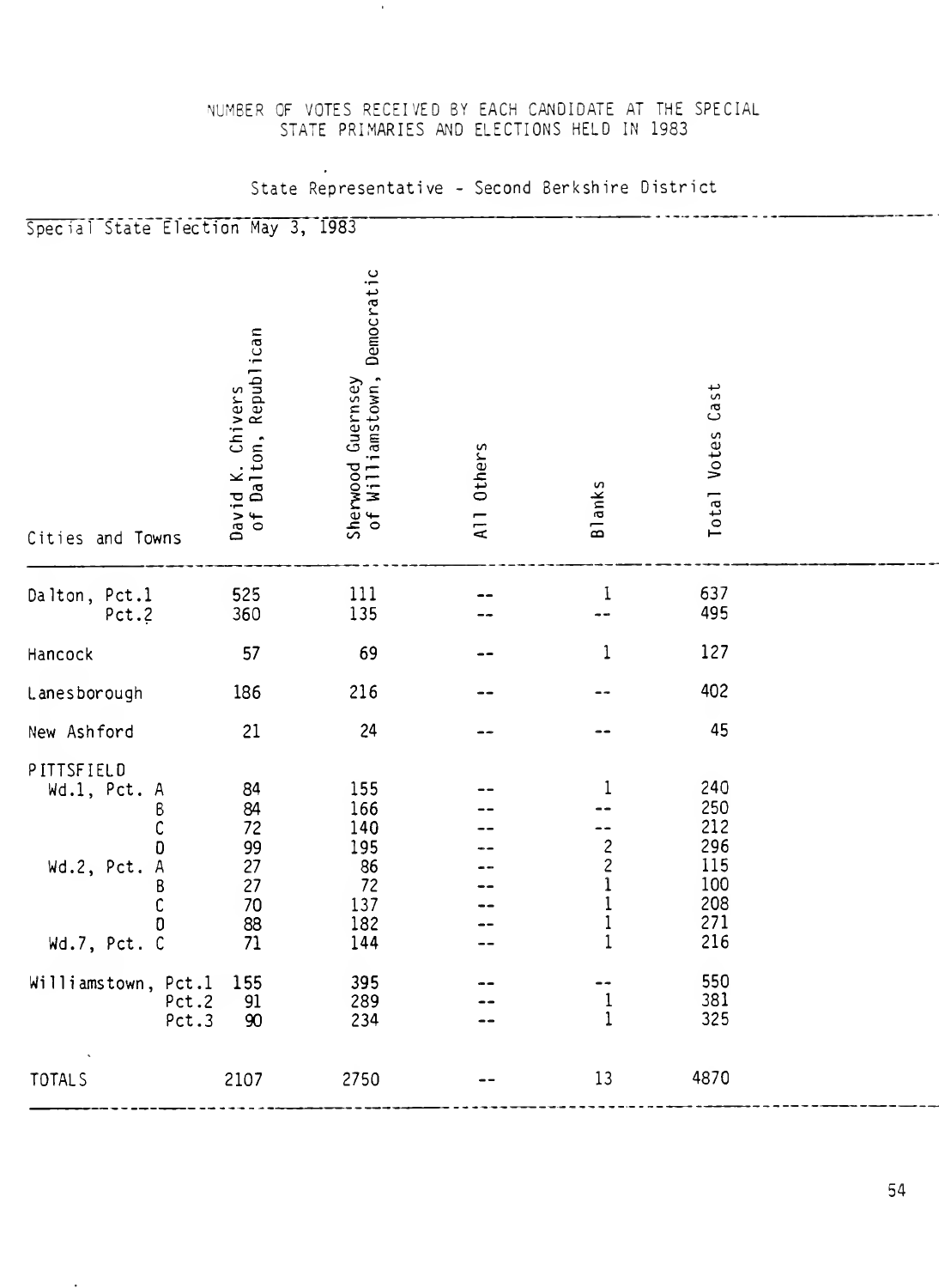$\sim$ 

|                                                                                                          |                                                        | State Representative - Second Berkshire District                  |            |                                                                          |                                                             |  |
|----------------------------------------------------------------------------------------------------------|--------------------------------------------------------|-------------------------------------------------------------------|------------|--------------------------------------------------------------------------|-------------------------------------------------------------|--|
| Special State Election May 3, 1983                                                                       |                                                        |                                                                   |            |                                                                          |                                                             |  |
| Cities and Towns                                                                                         | David K. Chivers<br>of Dalton, Republican              | Williamstown, Democratic<br>Sherwood Guernsey<br>of Williamstown, | All Others | <b>Blanks</b>                                                            | Total Votes Cast                                            |  |
| Dalton, Pct.1<br>Pct.2                                                                                   | 525<br>360                                             | 111<br>135                                                        |            | 1                                                                        | 637<br>495                                                  |  |
| Hancock                                                                                                  | 57                                                     | 69                                                                |            | 1                                                                        | 127                                                         |  |
| Lanesborough                                                                                             | 186                                                    | 216                                                               |            |                                                                          | 402                                                         |  |
| New Ashford                                                                                              | 21                                                     | 24                                                                |            |                                                                          | 45                                                          |  |
| PITTSFIELD<br>Wd.1, Pct. A<br>Β<br>C<br>D<br>Wd.2, Pct.<br>$\overline{A}$<br>В<br>C<br>D<br>Wd.7, Pct. C | 84<br>84<br>72<br>99<br>27<br>27<br>$70\,$<br>88<br>71 | 155<br>166<br>140<br>195<br>86<br>72<br>137<br>182<br>144         |            | 1<br>$\begin{array}{c} 2 \\ 2 \\ 1 \end{array}$<br>$\mathbf 1$<br>1<br>1 | 240<br>250<br>212<br>296<br>115<br>100<br>208<br>271<br>216 |  |
| Williamstown, Pct.1<br>Pct.2<br>Pct.3                                                                    | 155<br>91<br>90                                        | 395<br>289<br>234                                                 |            | $\frac{1}{1}$                                                            | 550<br>381<br>325                                           |  |

2107 2750 -- 13 4870

**TOTALS**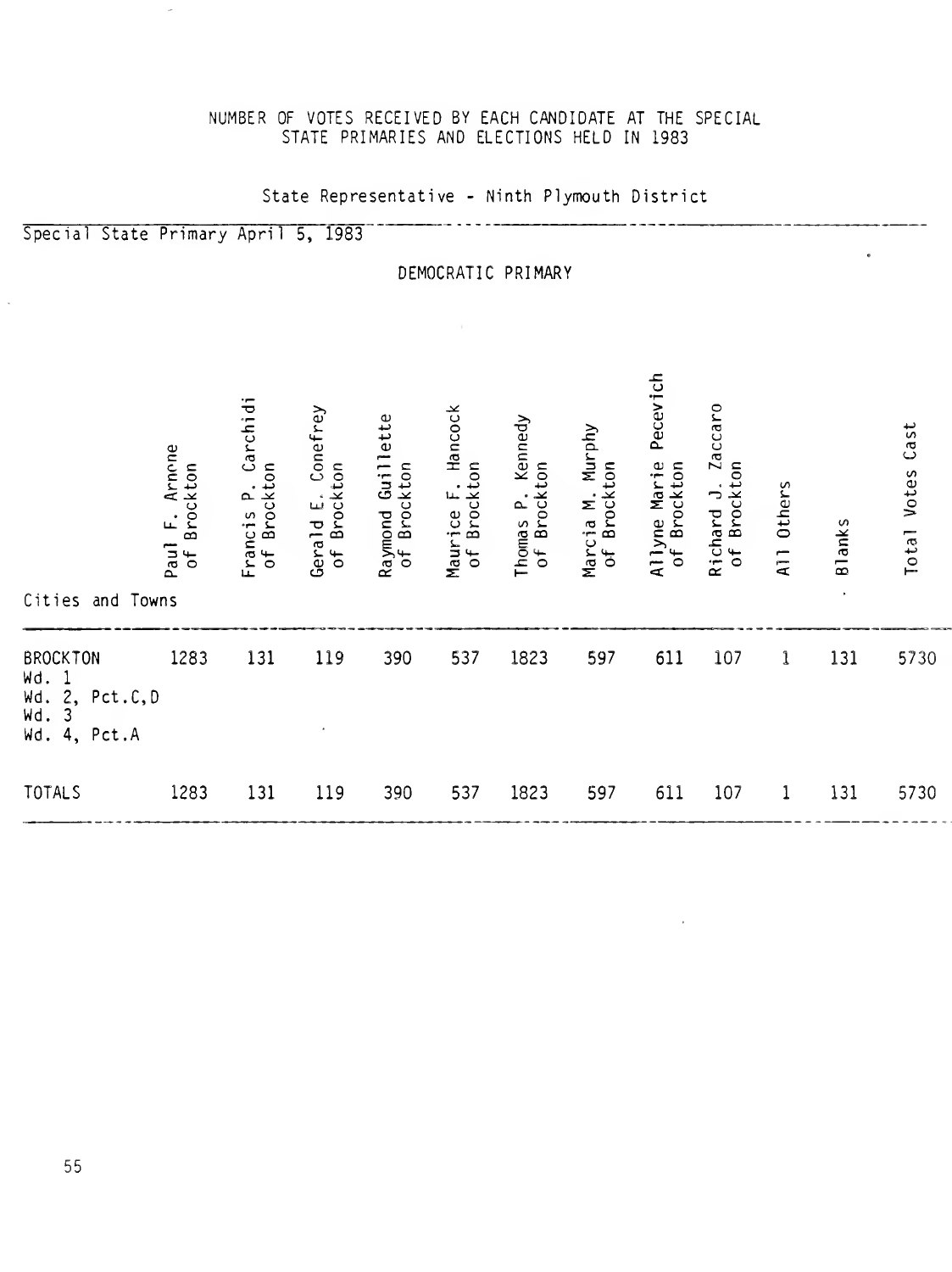State Representative - Ninth Plymouth District

 $\bullet$ 

Special State Primary April 5, 1983

 $\bar{z}$ 

J.

| Cities and Towns                                                                   | Arnone<br>Brockton<br>$\vec{L}$<br>$Part$<br>of | Carchidi<br>ncis P. Ca<br>Brockton<br>Francis<br>of Broc | Conefrey<br>ald E. Con<br>Brockton<br>Gerald<br>$\sigma$ | Guillette<br>Brockton<br>Raymond<br>of Broc | Hancock<br>rice F. Ha<br>Brockton<br>Maurice<br>$\mathfrak{o}^{\mathfrak{f}}$ | Kennedy<br>Thomas P. Ke<br>of Brockton<br>$\mathfrak{g}$ | Murphy<br>ria M. Mur<br>Brockton<br>Marcia<br>$\sigma$ f | Pecevich<br>Allyne Marie<br>of Brockton | Zaccaro<br>Richard J. Z<br>of Brockton | Others<br>A11 | Blanks | Cast<br>Votes<br>Total |
|------------------------------------------------------------------------------------|-------------------------------------------------|----------------------------------------------------------|----------------------------------------------------------|---------------------------------------------|-------------------------------------------------------------------------------|----------------------------------------------------------|----------------------------------------------------------|-----------------------------------------|----------------------------------------|---------------|--------|------------------------|
| <b>BROCKTON</b><br>Wd.<br>$\frac{1}{2}$ ,<br>Wd.<br>Wd.<br>Pct.C,D<br>Wd. 4, Pct.A | 1283                                            | 131                                                      | 119                                                      | 390                                         | 537                                                                           | 1823                                                     | 597                                                      | 611                                     | 107                                    | ĺ             | 131    | 5730                   |
| TOTALS                                                                             | 1283                                            | 131                                                      | 119                                                      | 390                                         | 537                                                                           | 1823                                                     | 597                                                      | 611                                     | 107                                    | $\mathbf 1$   | 131    | 5730                   |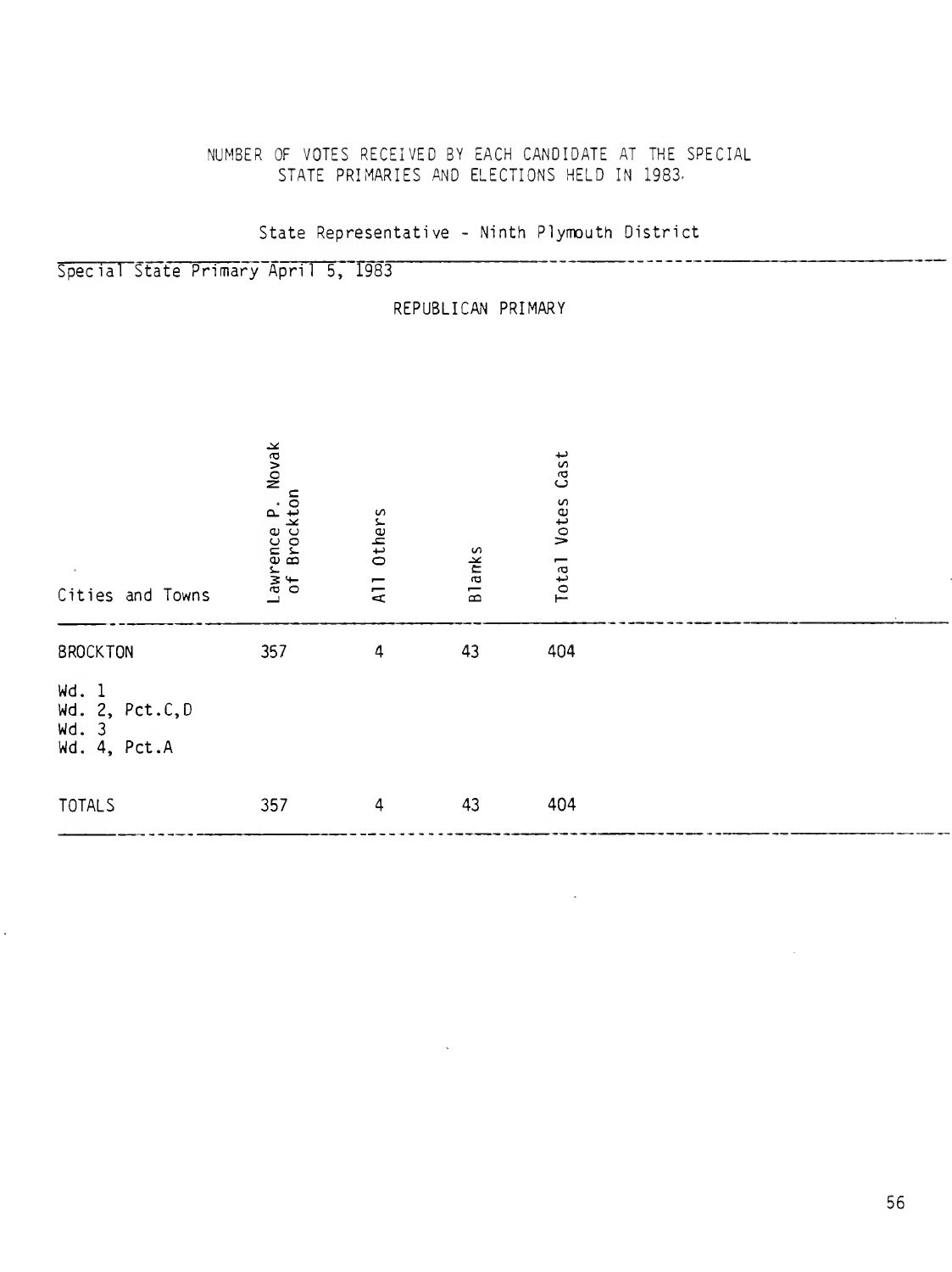State Representative - Ninth Plymouth District

Special State Primary April 5, 1983

| Cities and Towns                                  | Novak<br>Lawrence P. N<br>of Brockton | Others<br>$\overline{A}$ | <b>Blanks</b> | Cast<br>Votes<br>Total |  |
|---------------------------------------------------|---------------------------------------|--------------------------|---------------|------------------------|--|
| <b>BROCKTON</b>                                   | 357                                   | $\overline{\mathbf{4}}$  | 43            | 404                    |  |
| Wd. 1<br>Wd. 2, Pct.C, D<br>Wd. 3<br>Wd. 4, Pct.A |                                       |                          |               |                        |  |
| <b>TOTALS</b>                                     | 357                                   | 4                        | 43            | 404                    |  |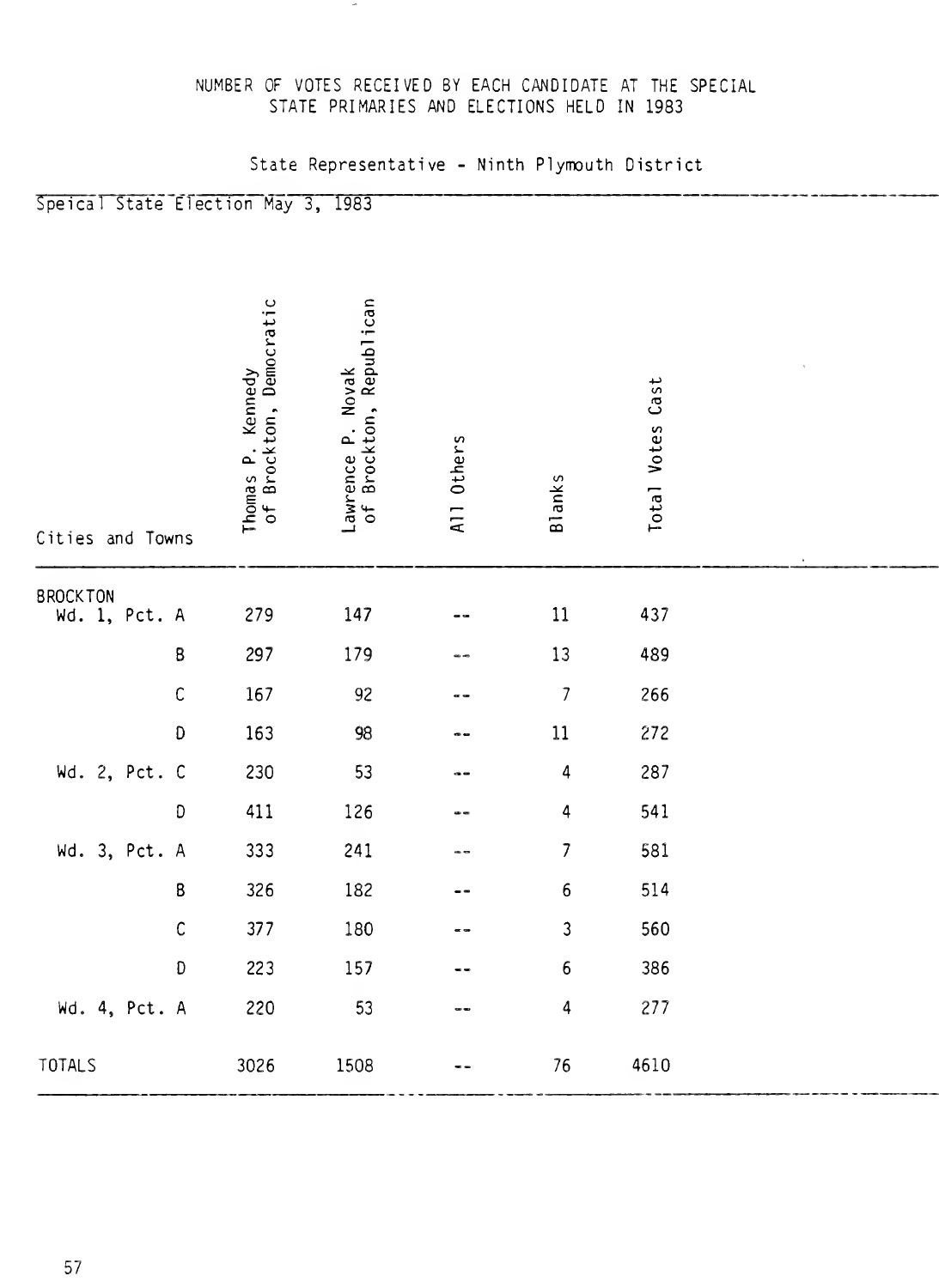$\sim$ 

State Representative - Ninth Plymouth District

| Speical State Election May 3, 1983 |                                              |                                              |            |                          |                     |  |
|------------------------------------|----------------------------------------------|----------------------------------------------|------------|--------------------------|---------------------|--|
| Cities and Towns                   | Thomas P. Kennedy<br>of Brockton, Democratic | Lawrence P. Novak<br>of Brockton, Republican | All Others | <b>Blanks</b>            | Cast<br>Total Votes |  |
| BROCKTON<br>Wd. 1, Pct. A          | 279                                          | 147                                          |            | 11                       | 437                 |  |
| 8                                  | 297                                          | 179                                          | on en      | 13                       | 489                 |  |
| $\mathsf C$                        | 167                                          | 92                                           |            | $\overline{7}$           | 266                 |  |
| $\mathsf D$                        | 163                                          | 98                                           |            | $11\,$                   | 272                 |  |
| Wd. 2, Pct. C                      | 230                                          | 53                                           |            | 4                        | 287                 |  |
| D                                  | 411                                          | 126                                          |            | 4                        | 541                 |  |
| Wd. 3, Pct. A                      | 333                                          | 241                                          | --         | $\overline{\phantom{a}}$ | 581                 |  |
| B                                  | 326                                          | 182                                          |            | 6                        | 514                 |  |
| $\mathsf C$                        | 377                                          | 180                                          |            | 3                        | 560                 |  |
| ${\mathsf D}$                      | 223                                          | 157                                          |            | 6                        | 386                 |  |
| Wd. 4, Pct. A                      | 220                                          | 53                                           |            | $\pmb{4}$                | 277                 |  |
| <b>TOTALS</b>                      | 3026                                         | 1508                                         |            | 76                       | 4610                |  |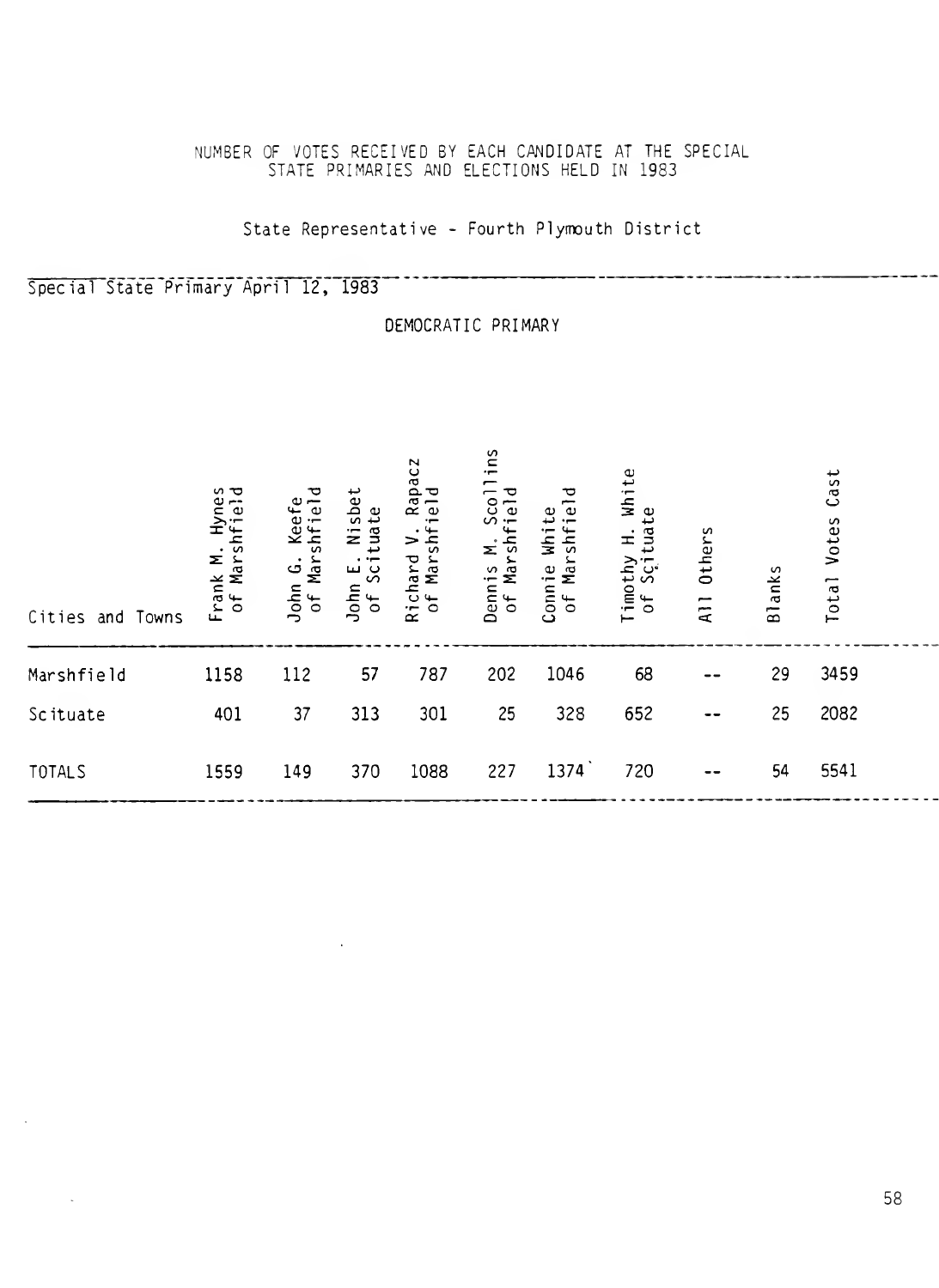State Representative - Fourth Plymouth District

Special State Primary April 12, 1983

| Cities and Towns | Frank M. Hynes<br>of Marshfield | n G. Keefe<br>Marshfield<br>John G.<br>$\mathfrak{b}$ | sbet<br>Nisbe<br>tuate<br>$\cdot$ $\cdot$ $\leftarrow$<br>ш 9<br>9<br>John<br>$\mathfrak{b}$ | Rapacz<br>ield<br>$\ddot{5}$<br>><br>Richard<br>of Mars | ins<br>M. Scoll<br>shfield<br>Σ<br>Mar<br>Dennis<br>of Mar | P<br>shfiel<br>White<br>Mar <sup>.</sup><br>Connie<br>$\mathfrak{b}$ | White<br>യ<br>$\mathbf{B}$<br>ᆂ<br>Timothy<br>of Sci | Others<br>A11            | <b>Blanks</b> | Cast<br>Votes<br>Total |  |
|------------------|---------------------------------|-------------------------------------------------------|----------------------------------------------------------------------------------------------|---------------------------------------------------------|------------------------------------------------------------|----------------------------------------------------------------------|------------------------------------------------------|--------------------------|---------------|------------------------|--|
| Marshfield       | 1158                            | 112                                                   | 57                                                                                           | 787                                                     | 202                                                        | 1046                                                                 | 68                                                   |                          | 29            | 3459                   |  |
| Scituate         | 401                             | 37                                                    | 313                                                                                          | 301                                                     | 25                                                         | 328                                                                  | 652                                                  | $\sim$ $\sim$            | 25            | 2082                   |  |
| <b>TOTALS</b>    | 1559                            | 149                                                   | 370                                                                                          | 1088                                                    | 227                                                        | 1374                                                                 | 720                                                  | $\overline{\phantom{a}}$ | 54            | 5541                   |  |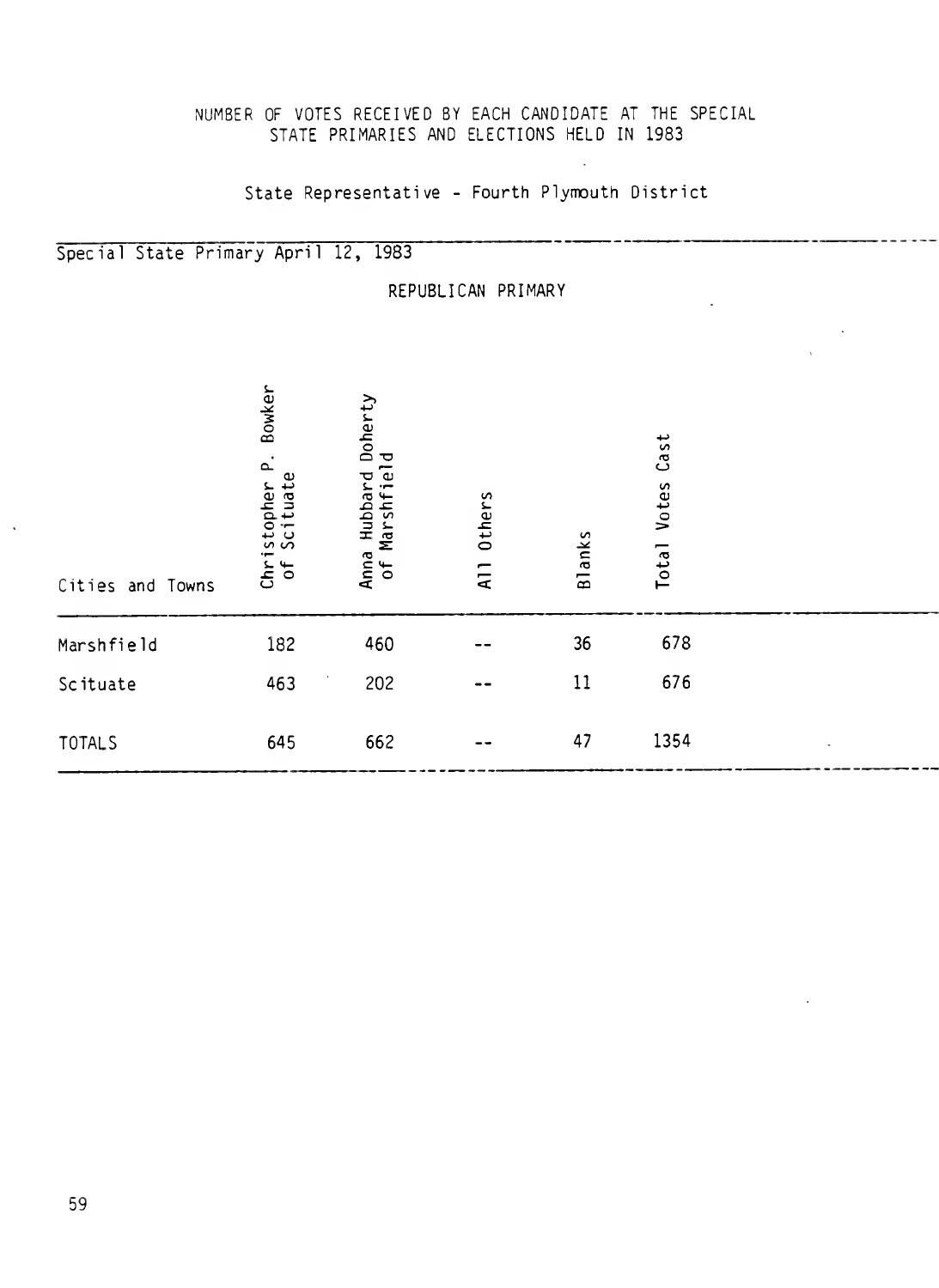State Representative - Fourth Plymouth District

\_\_\_\_\_\_\_\_\_\_\_\_\_\_\_\_\_\_\_\_

Special State Primary April 12, 1983

REPUBLICAN PRIMARY

| Cities and Towns | Bowker<br>$\mathbf{a}^{\mathbf{r}}$<br>istopher I<br>Scituate<br>$rac{1}{\sigma}$ | Doherty<br>$\overline{\phantom{a}}$<br>Marshfiel<br>Hubbard<br>Anna<br>of M | Others<br>A11 | Blanks | Cast<br>Votes<br><b>Total</b> |  |
|------------------|-----------------------------------------------------------------------------------|-----------------------------------------------------------------------------|---------------|--------|-------------------------------|--|
| Marshfield       | 182                                                                               | 460                                                                         |               | 36     | 678                           |  |
| Scituate         | 463                                                                               | 202                                                                         |               | 11     | 676                           |  |
| <b>TOTALS</b>    | 645                                                                               | 662                                                                         |               | 47     | 1354                          |  |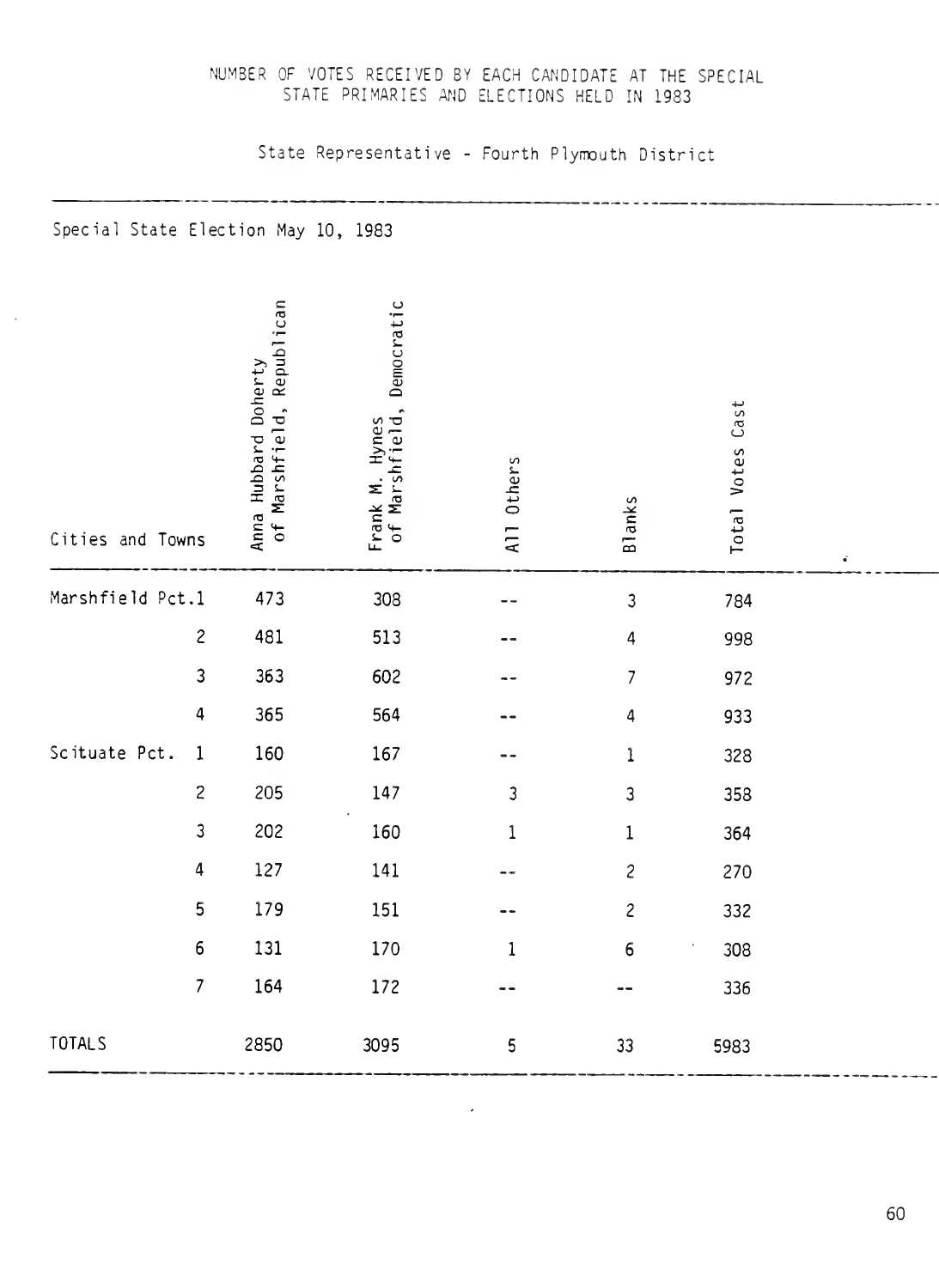State Representative - Fourth Plymouth District

Special State Election May 10, 1983

| Cities and Towns |                         | Republican<br>Anna Hubbard Doherty<br>of Marshfield, | of Marshfield, Democratic<br>Hynes<br>Frank M. | Others<br>$\overline{A}$ | <b>Blanks</b>  | Cast<br>Total Votes | $\vec{a}$ |
|------------------|-------------------------|------------------------------------------------------|------------------------------------------------|--------------------------|----------------|---------------------|-----------|
| Marshfield Pct.1 |                         | 473                                                  | 308                                            |                          | 3              | 784                 |           |
|                  | $\overline{c}$          | 481                                                  | 513                                            |                          | 4              | 998                 |           |
|                  | 3                       | 363                                                  | 602                                            |                          | $\overline{7}$ | 972                 |           |
|                  | $\overline{\mathbf{4}}$ | 365                                                  | 564                                            |                          | 4              | 933                 |           |
| Scituate Pct.    | $\mathbf{1}$            | 160                                                  | 167                                            |                          | $\mathbf 1$    | 328                 |           |
|                  | $\mathbf{2}$            | 205                                                  | 147                                            | 3                        | $\mathsf 3$    | 358                 |           |
|                  | 3                       | 202                                                  | 160                                            | $\,1$                    | $\mathbf{1}$   | 364                 |           |
|                  | 4                       | 127                                                  | 141                                            |                          | $\overline{c}$ | 270                 |           |
|                  | 5                       | 179                                                  | 151                                            |                          | $\overline{c}$ | 332                 |           |
|                  | $\boldsymbol{6}$        | 131                                                  | 170                                            | $\mathbf 1$              | 6              | $\cdot$<br>308      |           |
|                  | $\overline{7}$          | 164                                                  | 172                                            |                          |                | 336                 |           |
| <b>TOTALS</b>    |                         | 2850                                                 | 3095                                           | 5                        | 33             | 5983                |           |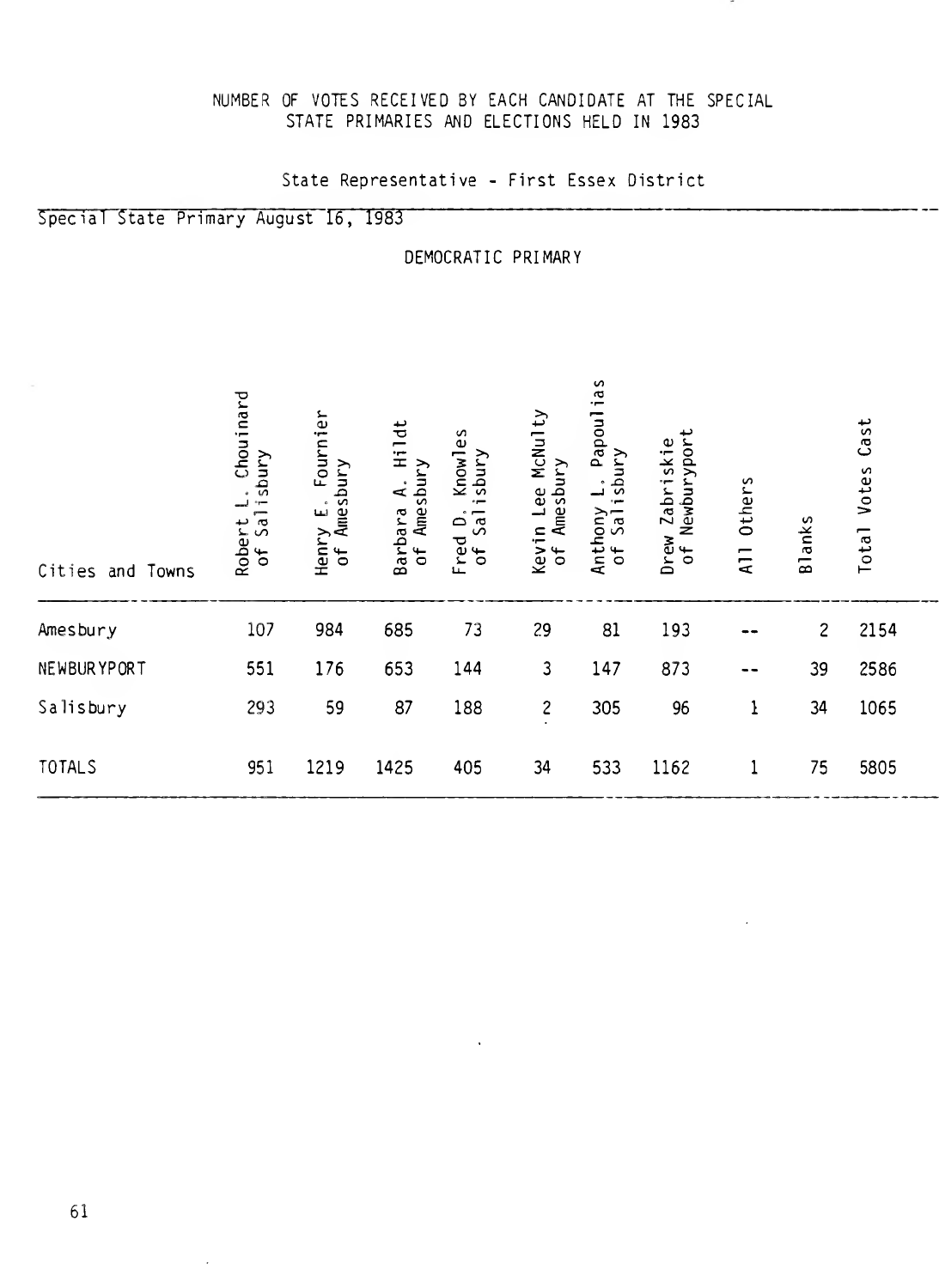State Representative - First Essex District

Special State Primary August 16, 1983

| Cities and Towns | Chouinard<br>sbury<br>$\bullet$<br>$\sim$<br>Sai<br>Robert<br>$\sigma$ | Fournier<br>Amesbury<br>$\mathbb{R}$<br>ш<br>Henry<br>$\mathfrak{b}$ | Hildt<br>Amesbury<br>$\vec{\mathbf{A}}$<br>Barbara<br>$\mathfrak{b}$ | Knowles<br>sbury<br>$\sim$<br>$\overline{a}$<br>Fred<br>of : | McNulty<br>Amesbury<br>Lee<br>Kevin<br>$\sigma$ | S<br>ð<br>$\cdot$ $-$<br>Papou1<br>sbury<br>$\overline{\text{Sel}}$<br>Anthony<br>of Sal | Newburyport<br>Zabriskie<br>Drew<br>of I | Others<br>A <sub>1</sub> | <b>Blanks</b>  | Cast<br>Votes<br>Total |
|------------------|------------------------------------------------------------------------|----------------------------------------------------------------------|----------------------------------------------------------------------|--------------------------------------------------------------|-------------------------------------------------|------------------------------------------------------------------------------------------|------------------------------------------|--------------------------|----------------|------------------------|
| Amesbury         | 107                                                                    | 984                                                                  | 685                                                                  | 73                                                           | 29                                              | 81                                                                                       | 193                                      |                          | $\overline{c}$ | 2154                   |
| NEWBURYPORT      | 551                                                                    | 176                                                                  | 653                                                                  | 144                                                          | 3                                               | 147                                                                                      | 873                                      | --                       | 39             | 2586                   |
| Salisbury        | 293                                                                    | 59                                                                   | 87                                                                   | 188                                                          | $\mathbf{Z}$                                    | 305                                                                                      | 96                                       | 1                        | 34             | 1065                   |
| <b>TOTALS</b>    | 951                                                                    | 1219                                                                 | 1425                                                                 | 405                                                          | 34                                              | 533                                                                                      | 1162                                     | 1                        | 75             | 5805                   |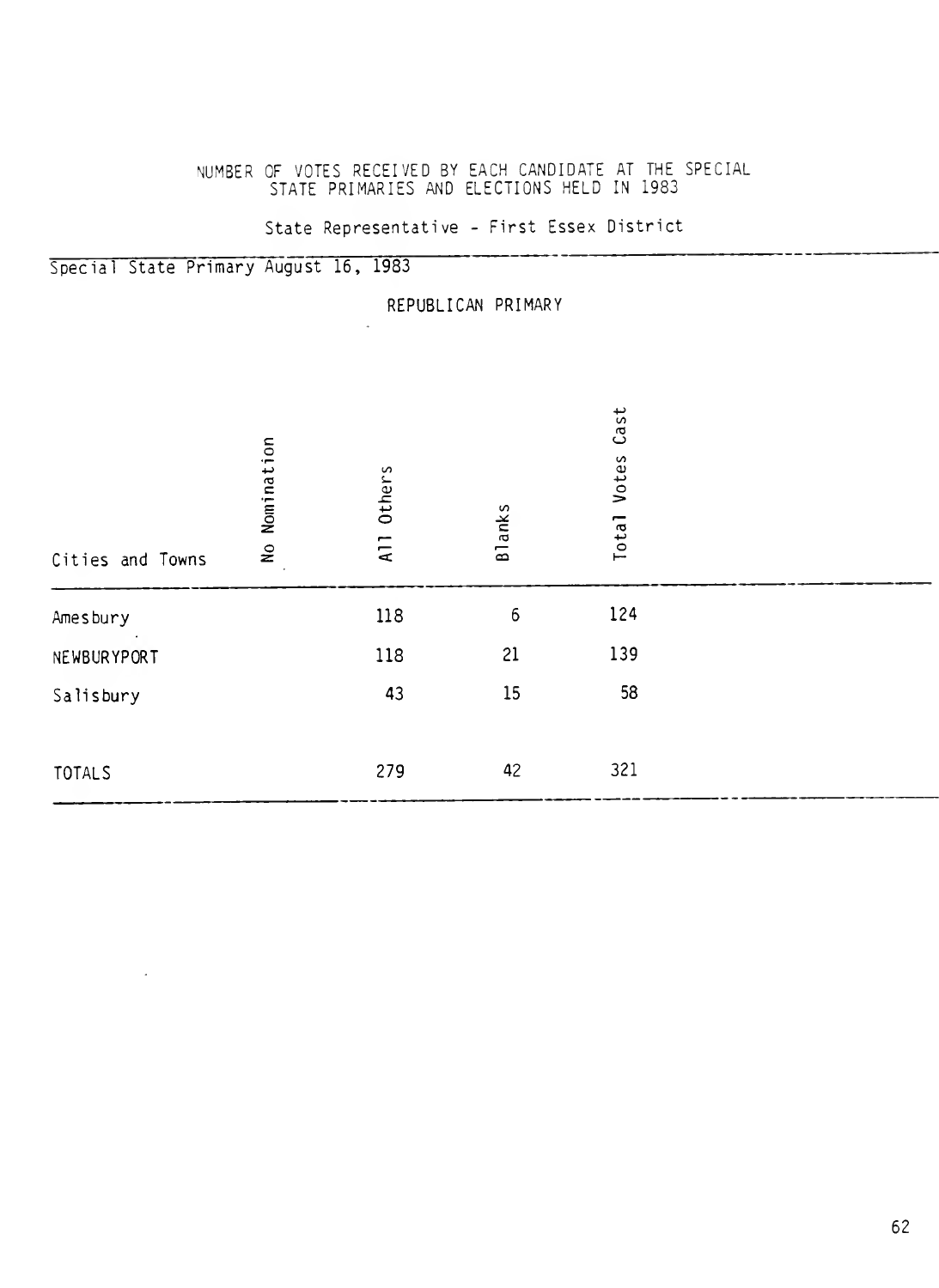State Representative - First Essex District

Special State Primary August 16, 1983

#### REPUBLICAN PRIMARY

| Cities and Towns   | Nomination<br>$\mathbf{e}$ | All Others | <b>Blanks</b>    | Cast<br>Votes<br><b>Total</b> |  |
|--------------------|----------------------------|------------|------------------|-------------------------------|--|
| Amesbury           |                            | 118        | $\boldsymbol{6}$ | 124                           |  |
| <b>NEWBURYPORT</b> |                            | 118        | 21               | 139                           |  |
| Salisbury          |                            | 43         | 15               | 58                            |  |
| <b>TOTALS</b>      |                            | 279        | 42               | 321                           |  |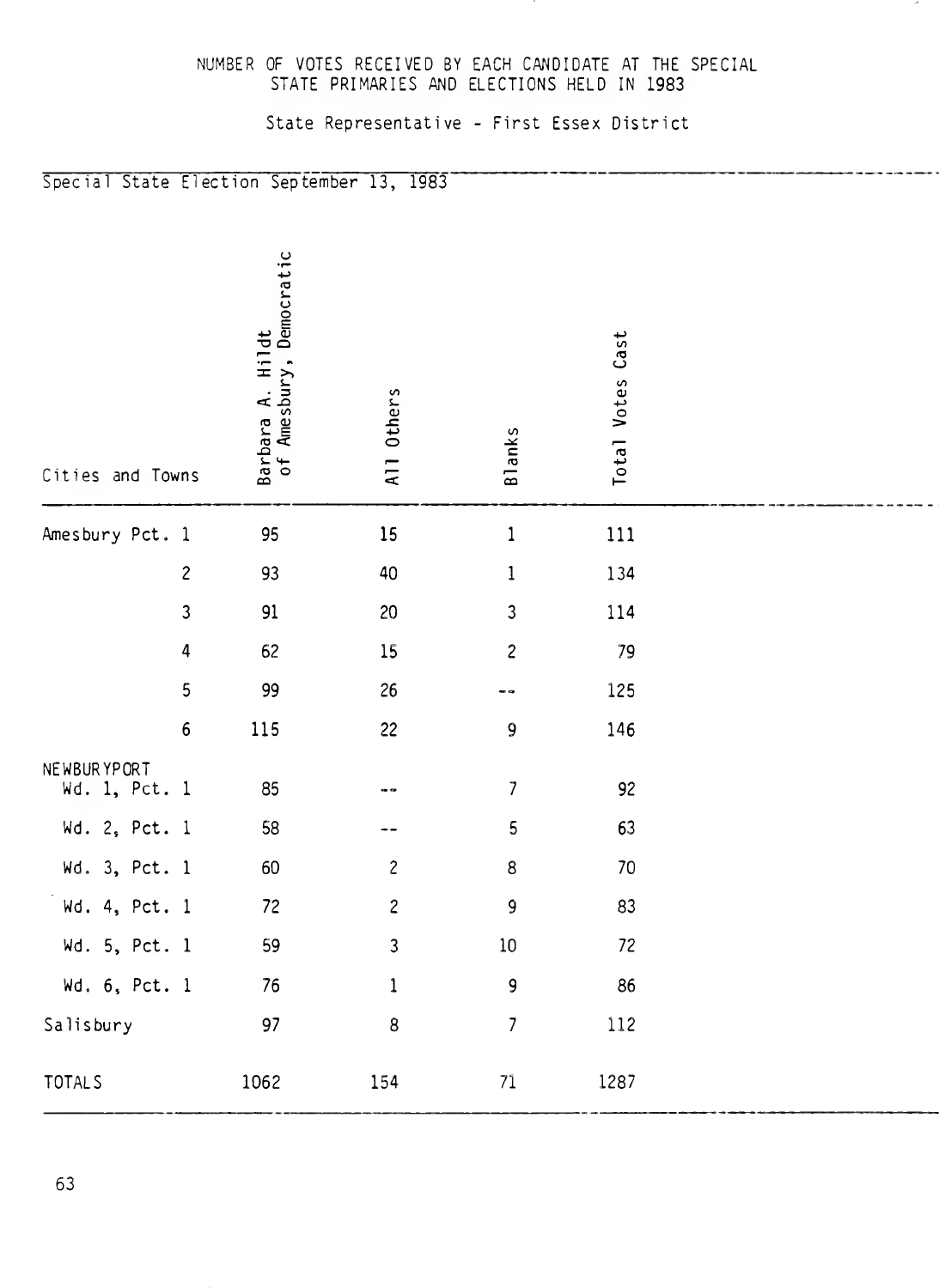## State Representative - First Essex District

| Special State Election September 13, 1983 |                                                    |                                      |                  |                     |  |
|-------------------------------------------|----------------------------------------------------|--------------------------------------|------------------|---------------------|--|
| Cities and Towns                          | Democratic<br>Barbara A. Hildt<br>of Amesbury, Den | Other <sub>s</sub><br>$\overline{A}$ | <b>Blanks</b>    | Cast<br>Total Votes |  |
| Amesbury Pct. 1                           | 95                                                 | 15                                   | $\mathbf{1}$     | $111$               |  |
| $\mathbf{c}$                              | 93                                                 | 40                                   | $\mathbf 1$      | 134                 |  |
| 3                                         | 91                                                 | 20                                   | 3                | 114                 |  |
| 4                                         | 62                                                 | 15                                   | $\overline{c}$   | 79                  |  |
| 5                                         | 99                                                 | 26                                   | --               | 125                 |  |
| 6                                         | 115                                                | 22                                   | 9                | 146                 |  |
| NEWBURYPORT<br>Wd. 1, Pct. 1              | 85                                                 | . .                                  | 7                | 92                  |  |
| Wd. 2, Pct. 1                             | 58                                                 |                                      | 5                | 63                  |  |
| Wd. 3, Pct. 1                             | 60                                                 | $\mathbf{2}$                         | $\bf 8$          | 70                  |  |
| Wd. 4, Pct. 1                             | 72                                                 | $\overline{c}$                       | 9                | 83                  |  |
| Wd. 5, Pct. 1                             | 59                                                 | $\mathfrak{Z}$                       | 10 <sub>10</sub> | 72                  |  |
| Wd. 6, Pct. 1                             | 76                                                 | $\mathbf{1}$                         | $\mathsf g$      | 86                  |  |
| Salisbury                                 | 97                                                 | 8                                    | $\overline{7}$   | 112                 |  |
| TOTAL <sub>S</sub>                        | 1062                                               | 154                                  | 71               | 1287                |  |